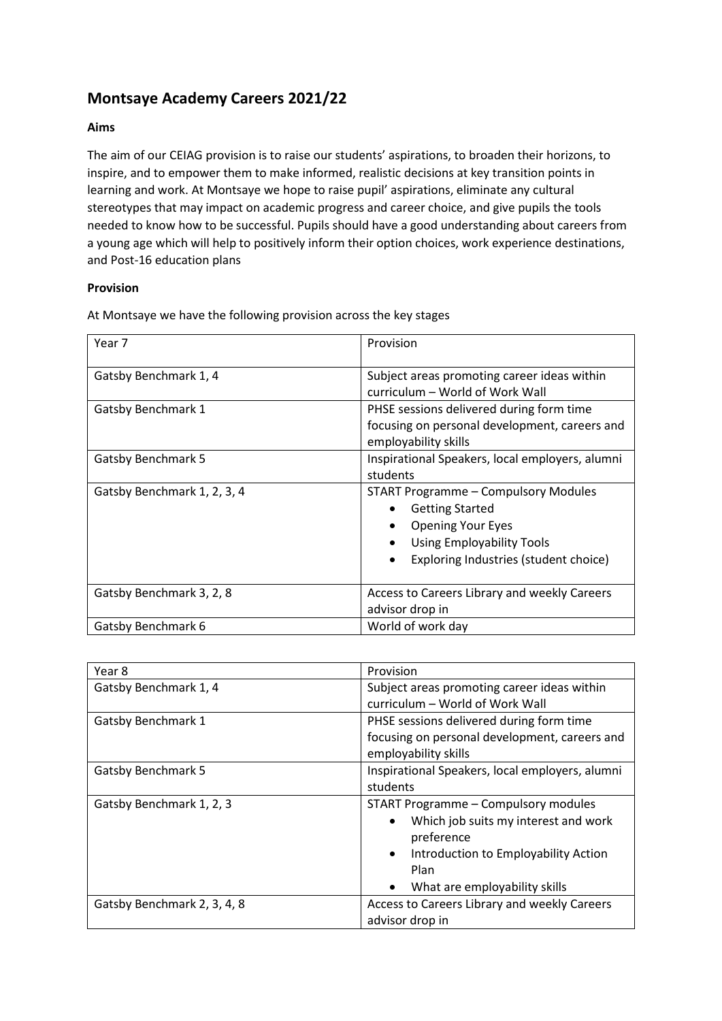# **Montsaye Academy Careers 2021/22**

# **Aims**

The aim of our CEIAG provision is to raise our students' aspirations, to broaden their horizons, to inspire, and to empower them to make informed, realistic decisions at key transition points in learning and work. At Montsaye we hope to raise pupil' aspirations, eliminate any cultural stereotypes that may impact on academic progress and career choice, and give pupils the tools needed to know how to be successful. Pupils should have a good understanding about careers from a young age which will help to positively inform their option choices, work experience destinations, and Post-16 education plans

## **Provision**

At Montsaye we have the following provision across the key stages

| Year 7                      | Provision                                                                                                                                                                                                      |
|-----------------------------|----------------------------------------------------------------------------------------------------------------------------------------------------------------------------------------------------------------|
| Gatsby Benchmark 1, 4       | Subject areas promoting career ideas within<br>curriculum - World of Work Wall                                                                                                                                 |
| <b>Gatsby Benchmark 1</b>   | PHSE sessions delivered during form time<br>focusing on personal development, careers and<br>employability skills                                                                                              |
| <b>Gatsby Benchmark 5</b>   | Inspirational Speakers, local employers, alumni<br>students                                                                                                                                                    |
| Gatsby Benchmark 1, 2, 3, 4 | START Programme - Compulsory Modules<br><b>Getting Started</b><br>$\bullet$<br><b>Opening Your Eyes</b><br><b>Using Employability Tools</b><br>$\bullet$<br>Exploring Industries (student choice)<br>$\bullet$ |
| Gatsby Benchmark 3, 2, 8    | Access to Careers Library and weekly Careers<br>advisor drop in                                                                                                                                                |
| <b>Gatsby Benchmark 6</b>   | World of work day                                                                                                                                                                                              |

| Year 8                      | Provision                                         |
|-----------------------------|---------------------------------------------------|
| Gatsby Benchmark 1, 4       | Subject areas promoting career ideas within       |
|                             | curriculum - World of Work Wall                   |
| Gatsby Benchmark 1          | PHSE sessions delivered during form time          |
|                             | focusing on personal development, careers and     |
|                             | employability skills                              |
| <b>Gatsby Benchmark 5</b>   | Inspirational Speakers, local employers, alumni   |
|                             | students                                          |
| Gatsby Benchmark 1, 2, 3    | START Programme - Compulsory modules              |
|                             | Which job suits my interest and work<br>$\bullet$ |
|                             | preference                                        |
|                             | Introduction to Employability Action<br>$\bullet$ |
|                             | Plan                                              |
|                             | What are employability skills<br>$\bullet$        |
| Gatsby Benchmark 2, 3, 4, 8 | Access to Careers Library and weekly Careers      |
|                             | advisor drop in                                   |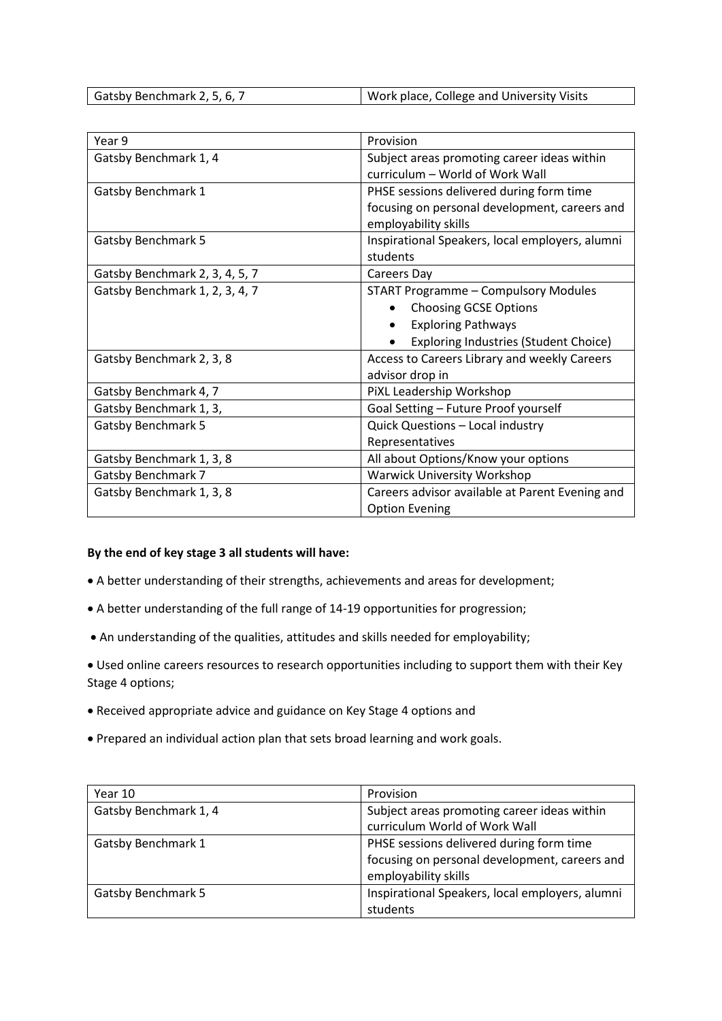Gatsby Benchmark 2, 5, 6, 7 Work place, College and University Visits

| Year 9                         | Provision                                       |
|--------------------------------|-------------------------------------------------|
| Gatsby Benchmark 1, 4          | Subject areas promoting career ideas within     |
|                                | curriculum - World of Work Wall                 |
| <b>Gatsby Benchmark 1</b>      | PHSE sessions delivered during form time        |
|                                | focusing on personal development, careers and   |
|                                | employability skills                            |
| <b>Gatsby Benchmark 5</b>      | Inspirational Speakers, local employers, alumni |
|                                | students                                        |
| Gatsby Benchmark 2, 3, 4, 5, 7 | Careers Day                                     |
| Gatsby Benchmark 1, 2, 3, 4, 7 | <b>START Programme - Compulsory Modules</b>     |
|                                | <b>Choosing GCSE Options</b>                    |
|                                | <b>Exploring Pathways</b>                       |
|                                | <b>Exploring Industries (Student Choice)</b>    |
| Gatsby Benchmark 2, 3, 8       | Access to Careers Library and weekly Careers    |
|                                | advisor drop in                                 |
| Gatsby Benchmark 4, 7          | PiXL Leadership Workshop                        |
| Gatsby Benchmark 1, 3,         | Goal Setting - Future Proof yourself            |
| <b>Gatsby Benchmark 5</b>      | Quick Questions - Local industry                |
|                                | Representatives                                 |
| Gatsby Benchmark 1, 3, 8       | All about Options/Know your options             |
| <b>Gatsby Benchmark 7</b>      | <b>Warwick University Workshop</b>              |
| Gatsby Benchmark 1, 3, 8       | Careers advisor available at Parent Evening and |
|                                | <b>Option Evening</b>                           |

#### **By the end of key stage 3 all students will have:**

- A better understanding of their strengths, achievements and areas for development;
- A better understanding of the full range of 14-19 opportunities for progression;
- An understanding of the qualities, attitudes and skills needed for employability;

• Used online careers resources to research opportunities including to support them with their Key Stage 4 options;

- Received appropriate advice and guidance on Key Stage 4 options and
- Prepared an individual action plan that sets broad learning and work goals.

| Year 10                   | Provision                                       |
|---------------------------|-------------------------------------------------|
| Gatsby Benchmark 1, 4     | Subject areas promoting career ideas within     |
|                           | curriculum World of Work Wall                   |
| Gatsby Benchmark 1        | PHSE sessions delivered during form time        |
|                           | focusing on personal development, careers and   |
|                           | employability skills                            |
| <b>Gatsby Benchmark 5</b> | Inspirational Speakers, local employers, alumni |
|                           | students                                        |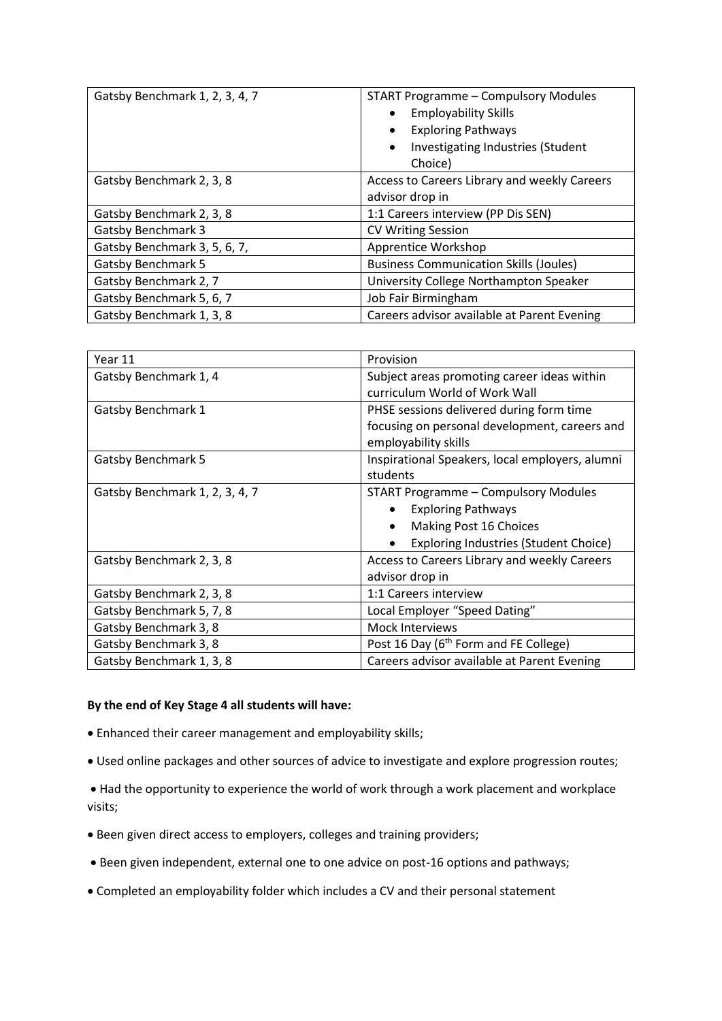| Gatsby Benchmark 1, 2, 3, 4, 7 | <b>START Programme - Compulsory Modules</b><br><b>Employability Skills</b><br><b>Exploring Pathways</b><br>Investigating Industries (Student<br>$\bullet$<br>Choice) |
|--------------------------------|----------------------------------------------------------------------------------------------------------------------------------------------------------------------|
| Gatsby Benchmark 2, 3, 8       | Access to Careers Library and weekly Careers                                                                                                                         |
|                                | advisor drop in                                                                                                                                                      |
| Gatsby Benchmark 2, 3, 8       | 1:1 Careers interview (PP Dis SEN)                                                                                                                                   |
| <b>Gatsby Benchmark 3</b>      | <b>CV Writing Session</b>                                                                                                                                            |
| Gatsby Benchmark 3, 5, 6, 7,   | Apprentice Workshop                                                                                                                                                  |
| <b>Gatsby Benchmark 5</b>      | <b>Business Communication Skills (Joules)</b>                                                                                                                        |
| Gatsby Benchmark 2, 7          | University College Northampton Speaker                                                                                                                               |
| Gatsby Benchmark 5, 6, 7       | Job Fair Birmingham                                                                                                                                                  |
| Gatsby Benchmark 1, 3, 8       | Careers advisor available at Parent Evening                                                                                                                          |

| Year 11                        | Provision                                                             |
|--------------------------------|-----------------------------------------------------------------------|
| Gatsby Benchmark 1, 4          | Subject areas promoting career ideas within                           |
|                                | curriculum World of Work Wall                                         |
| <b>Gatsby Benchmark 1</b>      | PHSE sessions delivered during form time                              |
|                                | focusing on personal development, careers and<br>employability skills |
| <b>Gatsby Benchmark 5</b>      | Inspirational Speakers, local employers, alumni                       |
|                                | students                                                              |
| Gatsby Benchmark 1, 2, 3, 4, 7 | START Programme - Compulsory Modules                                  |
|                                | <b>Exploring Pathways</b>                                             |
|                                | Making Post 16 Choices                                                |
|                                | <b>Exploring Industries (Student Choice)</b>                          |
| Gatsby Benchmark 2, 3, 8       | Access to Careers Library and weekly Careers                          |
|                                | advisor drop in                                                       |
| Gatsby Benchmark 2, 3, 8       | 1:1 Careers interview                                                 |
| Gatsby Benchmark 5, 7, 8       | Local Employer "Speed Dating"                                         |
| Gatsby Benchmark 3, 8          | <b>Mock Interviews</b>                                                |
| Gatsby Benchmark 3, 8          | Post 16 Day (6 <sup>th</sup> Form and FE College)                     |
| Gatsby Benchmark 1, 3, 8       | Careers advisor available at Parent Evening                           |

### **By the end of Key Stage 4 all students will have:**

- Enhanced their career management and employability skills;
- Used online packages and other sources of advice to investigate and explore progression routes;
- Had the opportunity to experience the world of work through a work placement and workplace visits;
- Been given direct access to employers, colleges and training providers;
- Been given independent, external one to one advice on post-16 options and pathways;
- Completed an employability folder which includes a CV and their personal statement